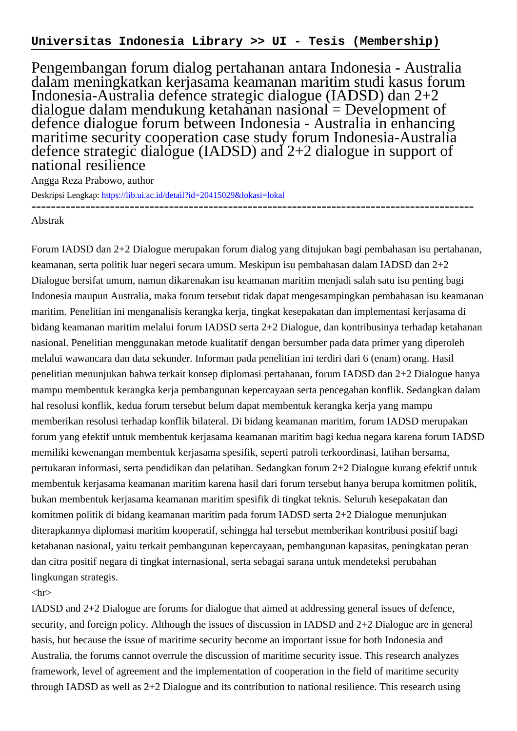Pengembangan forum dialog pertahanan antara Indonesia - Australia dalam meningkatkan kerjasama keamanan maritim studi kasus forum Indonesia-Australia defence strategic dialogue (IADSD) dan 2+2 dialogue dalam mendukung ketahanan nasional = Development of defence dialogue forum between Indonesia - Australia in enhancing maritime security cooperation case study forum Indonesia-Australia defence strategic dialogue (IADSD) and 2+2 dialogue in support of national resilience

Angga Reza Prabowo, author

Deskripsi Lengkap:<https://lib.ui.ac.id/detail?id=20415029&lokasi=lokal> ------------------------------------------------------------------------------------------

## Abstrak

Forum IADSD dan 2+2 Dialogue merupakan forum dialog yang ditujukan bagi pembahasan isu pertahanan, keamanan, serta politik luar negeri secara umum. Meskipun isu pembahasan dalam IADSD dan 2+2 Dialogue bersifat umum, namun dikarenakan isu keamanan maritim menjadi salah satu isu penting bagi Indonesia maupun Australia, maka forum tersebut tidak dapat mengesampingkan pembahasan isu keamanan maritim. Penelitian ini menganalisis kerangka kerja, tingkat kesepakatan dan implementasi kerjasama di bidang keamanan maritim melalui forum IADSD serta 2+2 Dialogue, dan kontribusinya terhadap ketahanan nasional. Penelitian menggunakan metode kualitatif dengan bersumber pada data primer yang diperoleh melalui wawancara dan data sekunder. Informan pada penelitian ini terdiri dari 6 (enam) orang. Hasil penelitian menunjukan bahwa terkait konsep diplomasi pertahanan, forum IADSD dan 2+2 Dialogue hanya mampu membentuk kerangka kerja pembangunan kepercayaan serta pencegahan konflik. Sedangkan dalam hal resolusi konflik, kedua forum tersebut belum dapat membentuk kerangka kerja yang mampu memberikan resolusi terhadap konflik bilateral. Di bidang keamanan maritim, forum IADSD merupakan forum yang efektif untuk membentuk kerjasama keamanan maritim bagi kedua negara karena forum IADSD memiliki kewenangan membentuk kerjasama spesifik, seperti patroli terkoordinasi, latihan bersama, pertukaran informasi, serta pendidikan dan pelatihan. Sedangkan forum 2+2 Dialogue kurang efektif untuk membentuk kerjasama keamanan maritim karena hasil dari forum tersebut hanya berupa komitmen politik, bukan membentuk kerjasama keamanan maritim spesifik di tingkat teknis. Seluruh kesepakatan dan komitmen politik di bidang keamanan maritim pada forum IADSD serta 2+2 Dialogue menunjukan diterapkannya diplomasi maritim kooperatif, sehingga hal tersebut memberikan kontribusi positif bagi ketahanan nasional, yaitu terkait pembangunan kepercayaan, pembangunan kapasitas, peningkatan peran dan citra positif negara di tingkat internasional, serta sebagai sarana untuk mendeteksi perubahan lingkungan strategis.

## $\langle$ hr $>$

IADSD and 2+2 Dialogue are forums for dialogue that aimed at addressing general issues of defence, security, and foreign policy. Although the issues of discussion in IADSD and 2+2 Dialogue are in general basis, but because the issue of maritime security become an important issue for both Indonesia and Australia, the forums cannot overrule the discussion of maritime security issue. This research analyzes framework, level of agreement and the implementation of cooperation in the field of maritime security through IADSD as well as 2+2 Dialogue and its contribution to national resilience. This research using